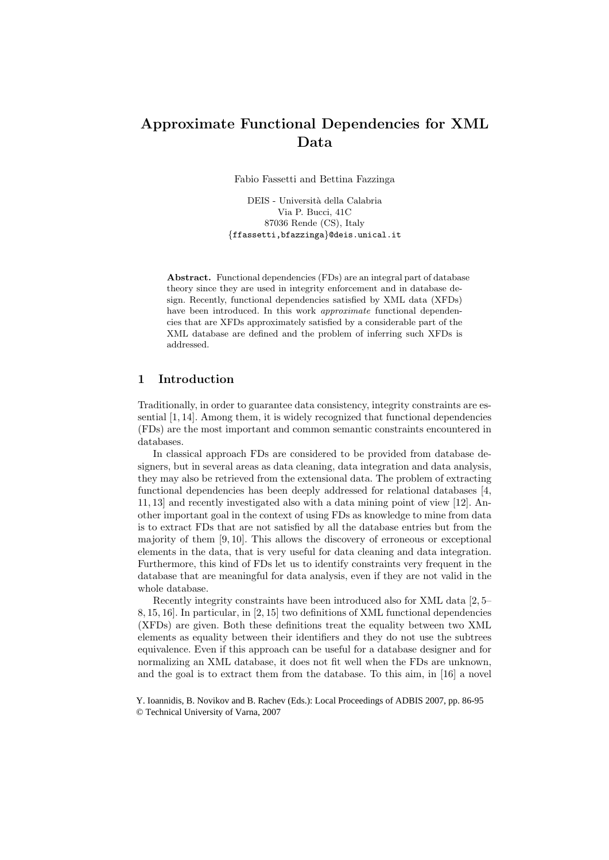# Approximate Functional Dependencies for XML Data

Fabio Fassetti and Bettina Fazzinga

DEIS - Università della Calabria Via P. Bucci, 41C 87036 Rende (CS), Italy {ffassetti,bfazzinga}@deis.unical.it

Abstract. Functional dependencies (FDs) are an integral part of database theory since they are used in integrity enforcement and in database design. Recently, functional dependencies satisfied by XML data (XFDs) have been introduced. In this work *approximate* functional dependencies that are XFDs approximately satisfied by a considerable part of the XML database are defined and the problem of inferring such XFDs is addressed.

## 1 Introduction

Traditionally, in order to guarantee data consistency, integrity constraints are essential [1, 14]. Among them, it is widely recognized that functional dependencies (FDs) are the most important and common semantic constraints encountered in databases.

In classical approach FDs are considered to be provided from database designers, but in several areas as data cleaning, data integration and data analysis, they may also be retrieved from the extensional data. The problem of extracting functional dependencies has been deeply addressed for relational databases [4, 11, 13] and recently investigated also with a data mining point of view [12]. Another important goal in the context of using FDs as knowledge to mine from data is to extract FDs that are not satisfied by all the database entries but from the majority of them [9, 10]. This allows the discovery of erroneous or exceptional elements in the data, that is very useful for data cleaning and data integration. Furthermore, this kind of FDs let us to identify constraints very frequent in the database that are meaningful for data analysis, even if they are not valid in the whole database.

Recently integrity constraints have been introduced also for XML data [2, 5– 8, 15, 16]. In particular, in [2, 15] two definitions of XML functional dependencies (XFDs) are given. Both these definitions treat the equality between two XML elements as equality between their identifiers and they do not use the subtrees equivalence. Even if this approach can be useful for a database designer and for normalizing an XML database, it does not fit well when the FDs are unknown, and the goal is to extract them from the database. To this aim, in [16] a novel

Y. Ioannidis, B. Novikov and B. Rachev (Eds.): Local Proceedings of ADBIS 2007, pp. 86-95 © Technical University of Varna, 2007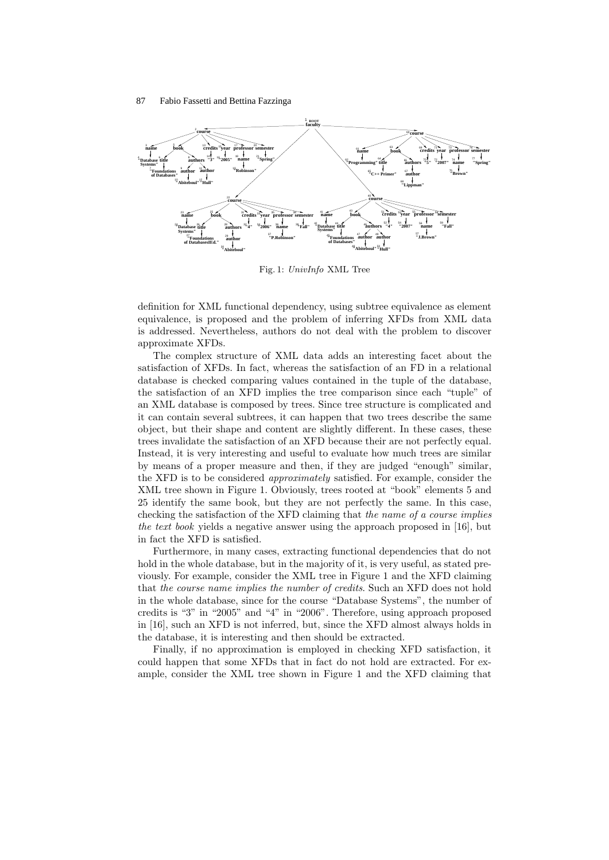

Fig. 1: UnivInfo XML Tree

definition for XML functional dependency, using subtree equivalence as element equivalence, is proposed and the problem of inferring XFDs from XML data is addressed. Nevertheless, authors do not deal with the problem to discover approximate XFDs.

The complex structure of XML data adds an interesting facet about the satisfaction of XFDs. In fact, whereas the satisfaction of an FD in a relational database is checked comparing values contained in the tuple of the database, the satisfaction of an XFD implies the tree comparison since each "tuple" of an XML database is composed by trees. Since tree structure is complicated and it can contain several subtrees, it can happen that two trees describe the same object, but their shape and content are slightly different. In these cases, these trees invalidate the satisfaction of an XFD because their are not perfectly equal. Instead, it is very interesting and useful to evaluate how much trees are similar by means of a proper measure and then, if they are judged "enough" similar, the XFD is to be considered approximately satisfied. For example, consider the XML tree shown in Figure 1. Obviously, trees rooted at "book" elements 5 and 25 identify the same book, but they are not perfectly the same. In this case, checking the satisfaction of the XFD claiming that the name of a course implies the text book yields a negative answer using the approach proposed in [16], but in fact the XFD is satisfied.

Furthermore, in many cases, extracting functional dependencies that do not hold in the whole database, but in the majority of it, is very useful, as stated previously. For example, consider the XML tree in Figure 1 and the XFD claiming that the course name implies the number of credits. Such an XFD does not hold in the whole database, since for the course "Database Systems", the number of credits is "3" in "2005" and "4" in "2006". Therefore, using approach proposed in [16], such an XFD is not inferred, but, since the XFD almost always holds in the database, it is interesting and then should be extracted.

Finally, if no approximation is employed in checking XFD satisfaction, it could happen that some XFDs that in fact do not hold are extracted. For example, consider the XML tree shown in Figure 1 and the XFD claiming that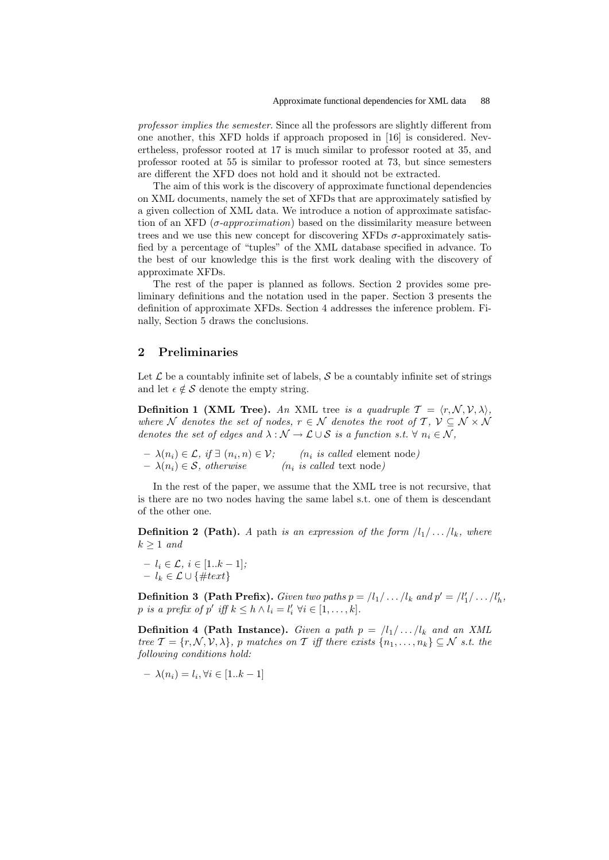professor implies the semester. Since all the professors are slightly different from one another, this XFD holds if approach proposed in [16] is considered. Nevertheless, professor rooted at 17 is much similar to professor rooted at 35, and professor rooted at 55 is similar to professor rooted at 73, but since semesters are different the XFD does not hold and it should not be extracted.

The aim of this work is the discovery of approximate functional dependencies on XML documents, namely the set of XFDs that are approximately satisfied by a given collection of XML data. We introduce a notion of approximate satisfaction of an XFD ( $\sigma$ -*approximation*) based on the dissimilarity measure between trees and we use this new concept for discovering XFDs  $\sigma$ -approximately satisfied by a percentage of "tuples" of the XML database specified in advance. To the best of our knowledge this is the first work dealing with the discovery of approximate XFDs.

The rest of the paper is planned as follows. Section 2 provides some preliminary definitions and the notation used in the paper. Section 3 presents the definition of approximate XFDs. Section 4 addresses the inference problem. Finally, Section 5 draws the conclusions.

# 2 Preliminaries

Let  $\mathcal L$  be a countably infinite set of labels,  $\mathcal S$  be a countably infinite set of strings and let  $\epsilon \notin \mathcal{S}$  denote the empty string.

**Definition 1 (XML Tree).** An XML tree is a quadruple  $\mathcal{T} = \langle r, \mathcal{N}, \mathcal{V}, \lambda \rangle$ , where N denotes the set of nodes,  $r \in \mathcal{N}$  denotes the root of T,  $\mathcal{V} \subseteq \mathcal{N} \times \mathcal{N}$ denotes the set of edges and  $\lambda : \mathcal{N} \to \mathcal{L} \cup \mathcal{S}$  is a function s.t.  $\forall n_i \in \mathcal{N}$ ,

 $- \lambda(n_i) \in \mathcal{L}, \text{ if } \exists (n_i, n) \in \mathcal{V}; \qquad (n_i \text{ is called element node})$  $- \lambda(n_i) \in \mathcal{S}$ , otherwise  $(n_i \text{ is called text node})$ 

In the rest of the paper, we assume that the XML tree is not recursive, that is there are no two nodes having the same label s.t. one of them is descendant of the other one.

**Definition 2 (Path).** A path is an expression of the form  $\langle l_1 / \ldots / l_k \rangle$ , where  $k > 1$  and

 $- l_i \in \mathcal{L}, i \in [1..k-1];$ –  $l_k$  ∈  $\mathcal{L}$  ∪ {#text}

**Definition 3 (Path Prefix).** Given two paths  $p = \frac{|l_1|}{\cdots}$  and  $p' = \frac{|l'_1|}{\cdots}$ ,  $l'_h$ , p is a prefix of p' iff  $k \leq h \wedge l_i = l'_i \ \forall i \in [1, \ldots, k].$ 

**Definition 4 (Path Instance).** Given a path  $p = \frac{|l_1| \dots |l_k|}{q}$  and an XML tree  $\mathcal{T} = \{r, \mathcal{N}, \mathcal{V}, \lambda\}$ , p matches on T iff there exists  $\{n_1, \ldots, n_k\} \subseteq \mathcal{N}$  s.t. the following conditions hold:

$$
- \lambda(n_i) = l_i, \forall i \in [1..k-1]
$$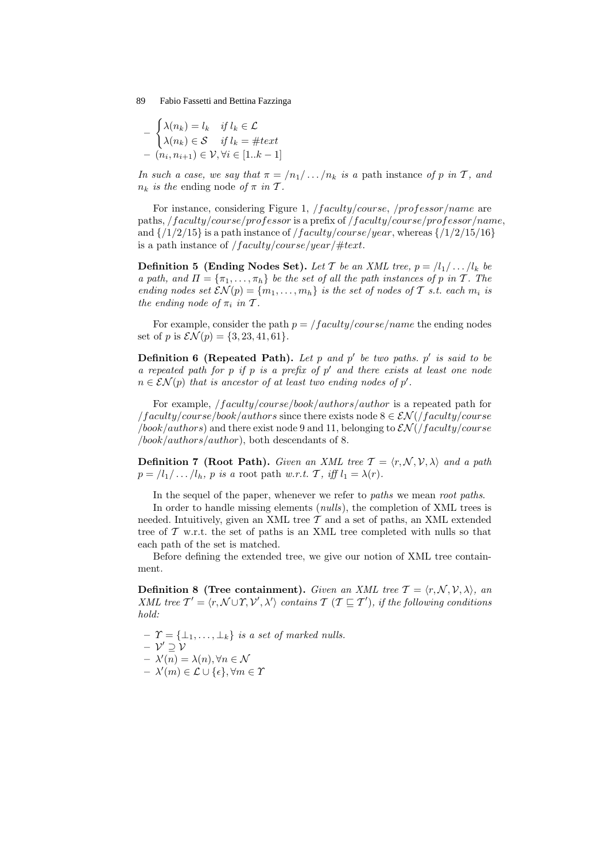$$
-\begin{cases} \lambda(n_k) = l_k & \text{if } l_k \in \mathcal{L} \\ \lambda(n_k) \in \mathcal{S} & \text{if } l_k = \#text{ and} \\ - (n_i, n_{i+1}) \in \mathcal{V}, \forall i \in [1..k-1] \end{cases}
$$

In such a case, we say that  $\pi = \langle n_1 / \dots / n_k \rangle$  is a path instance of p in T, and  $n_k$  is the ending node of  $\pi$  in  $\mathcal{T}$ .

For instance, considering Figure 1, /*faculty/course, /professor/name* are paths, /f aculty/course/professor is a prefix of /f aculty/course/professor/name, and  $\{1/2/15\}$  is a path instance of *faculty/course/year*, whereas  $\{1/2/15/16\}$ is a path instance of  $/faculty/course/year/\#text.$ 

**Definition 5 (Ending Nodes Set).** Let T be an XML tree,  $p = \langle l_1 / \ldots / l_k \rangle$  be a path, and  $\Pi = {\pi_1, \ldots, \pi_h}$  be the set of all the path instances of p in T. The ending nodes set  $\mathcal{SN}(p) = \{m_1, \ldots, m_h\}$  is the set of nodes of T s.t. each  $m_i$  is the ending node of  $\pi_i$  in T.

For example, consider the path  $p = /faculty/course/name$  the ending nodes set of p is  $\mathcal{EN}(p) = \{3, 23, 41, 61\}.$ 

**Definition 6 (Repeated Path).** Let p and p' be two paths. p' is said to be a repeated path for  $p$  if  $p$  is a prefix of  $p'$  and there exists at least one node  $n \in \mathcal{SN}(p)$  that is ancestor of at least two ending nodes of  $p'$ .

For example, /f aculty/course/book/authors/author is a repeated path for  $\frac{1}{4}$  /faculty/course/book/authors since there exists node  $8 \in \mathcal{EN}($ /faculty/course  $/book/authors)$  and there exist node 9 and 11, belonging to  $\mathcal{EN}(/faculty/course)$ /book/authors/author), both descendants of 8.

**Definition 7 (Root Path).** Given an XML tree  $\mathcal{T} = \langle r, \mathcal{N}, \mathcal{V}, \lambda \rangle$  and a path  $p = /l_1 / \ldots / l_h$ , p is a root path w.r.t. T, iff  $l_1 = \lambda(r)$ .

In the sequel of the paper, whenever we refer to *paths* we mean *root paths*.

In order to handle missing elements *(nulls)*, the completion of XML trees is needed. Intuitively, given an XML tree  $\mathcal T$  and a set of paths, an XML extended tree of  $\mathcal T$  w.r.t. the set of paths is an XML tree completed with nulls so that each path of the set is matched.

Before defining the extended tree, we give our notion of XML tree containment.

**Definition 8 (Tree containment).** Given an XML tree  $\mathcal{T} = \langle r, \mathcal{N}, \mathcal{V}, \lambda \rangle$ , an XML tree  $T' = \langle r, \mathcal{N} \cup \mathcal{T}, \mathcal{V}', \lambda' \rangle$  contains  $\mathcal{T}$  ( $\mathcal{T} \sqsubseteq \mathcal{T}'$ ), if the following conditions hold:

 $\mathcal{T} = \{\perp_1, \ldots, \perp_k\}$  is a set of marked nulls.  $\mathcal{V}' \supseteq \mathcal{V}$  $- \lambda'(n) = \lambda(n), \forall n \in \mathcal{N}$  $- \lambda'(m) \in \mathcal{L} \cup \{\epsilon\}, \forall m \in \mathcal{X}$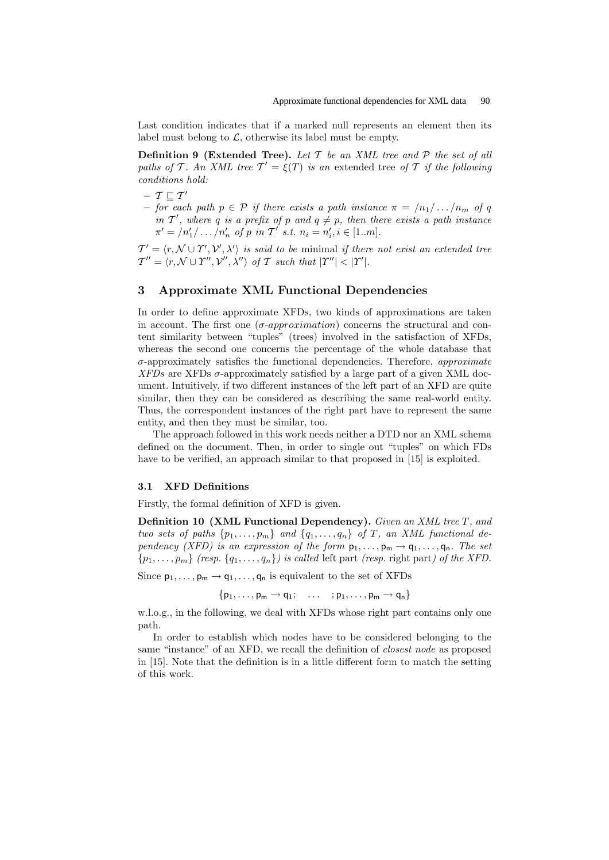Last condition indicates that if a marked null represents an element then its label must belong to  $\mathcal{L}$ , otherwise its label must be empty.

**Definition 9 (Extended Tree).** Let  $T$  be an XML tree and  $P$  the set of all paths of T. An XML tree  $T' = \xi(T)$  is an extended tree of T if the following conditions hold:

- $\,$   $\mathcal{T} \sqsubseteq \mathcal{T}'$
- for each path  $p \in \mathcal{P}$  if there exists a path instance  $\pi = \langle n_1 / \dots / n_m \rangle$  of q in T', where q is a prefix of p and  $q \neq p$ , then there exists a path instance  $\pi' = /n'_1 / \ldots / n'_n$  of p in  $T'$  s.t.  $n_i = n'_i, i \in [1..m]$ .

 $\mathcal{T}' = \langle r, \mathcal{N} \cup \mathcal{Y}', \mathcal{N}', \lambda' \rangle$  is said to be minimal if there not exist an extended tree  $\mathcal{T}'' = \langle r, \mathcal{N} \cup \mathcal{Y}'', \lambda'' \rangle \text{ of } \mathcal{T} \text{ such that } |\mathcal{Y}''| < |\mathcal{Y}'|.$ 

## 3 Approximate XML Functional Dependencies

In order to define approximate XFDs, two kinds of approximations are taken in account. The first one  $(\sigma\text{-}approximation)$  concerns the structural and content similarity between "tuples" (trees) involved in the satisfaction of XFDs, whereas the second one concerns the percentage of the whole database that  $\sigma$ -approximately satisfies the functional dependencies. Therefore, *approximate*  $XFDs$  are XFDs  $\sigma$ -approximately satisfied by a large part of a given XML document. Intuitively, if two different instances of the left part of an XFD are quite similar, then they can be considered as describing the same real-world entity. Thus, the correspondent instances of the right part have to represent the same entity, and then they must be similar, too.

The approach followed in this work needs neither a DTD nor an XML schema defined on the document. Then, in order to single out "tuples" on which FDs have to be verified, an approach similar to that proposed in [15] is exploited.

#### 3.1 XFD Definitions

Firstly, the formal definition of XFD is given.

Definition 10 (XML Functional Dependency). Given an XML tree T, and two sets of paths  $\{p_1, \ldots, p_m\}$  and  $\{q_1, \ldots, q_n\}$  of T, an XML functional dependency (XFD) is an expression of the form  $p_1, \ldots, p_m \rightarrow q_1, \ldots, q_n$ . The set  $\{p_1, \ldots, p_m\}$  (resp.  $\{q_1, \ldots, q_n\}$ ) is called left part (resp. right part) of the XFD.

Since  $p_1, \ldots, p_m \rightarrow q_1, \ldots, q_n$  is equivalent to the set of XFDs

 $\{p_1, \ldots, p_m \rightarrow q_1; \ldots; p_1, \ldots, p_m \rightarrow q_n\}$ 

w.l.o.g., in the following, we deal with XFDs whose right part contains only one path.

In order to establish which nodes have to be considered belonging to the same "instance" of an XFD, we recall the definition of closest node as proposed in [15]. Note that the definition is in a little different form to match the setting of this work.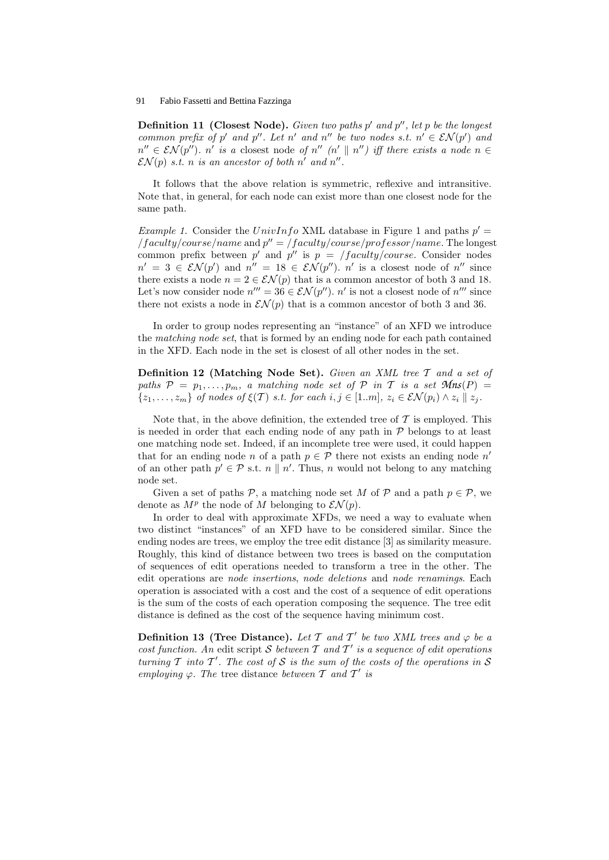**Definition 11 (Closest Node).** Given two paths  $p'$  and  $p''$ , let p be the longest common prefix of p' and p''. Let n' and n'' be two nodes s.t.  $n' \in \mathcal{SN}(p')$  and  $n'' \in \mathcal{SN}(p'')$ . n' is a closest node of  $n'' (n' || n'')$  iff there exists a node  $n \in$  $\mathcal{EN}(p)$  s.t. n is an ancestor of both n' and n''.

It follows that the above relation is symmetric, reflexive and intransitive. Note that, in general, for each node can exist more than one closest node for the same path.

*Example 1.* Consider the UnivInfo XML database in Figure 1 and paths  $p' =$  $\frac{1}{\pi}$  /faculty/course/name and  $p'' = \frac{1}{\pi}$  aculty/course/professor/name. The longest common prefix between p' and p'' is  $p = \frac{1}{2}$  /faculty/course. Consider nodes  $n' = 3 \in \mathcal{SN}(p')$  and  $n'' = 18 \in \mathcal{SN}(p'')$ . n' is a closest node of n'' since there exists a node  $n = 2 \in \mathcal{SN}(p)$  that is a common ancestor of both 3 and 18. Let's now consider node  $n''' = 36 \in \mathcal{SN}(p'')$ .  $n'$  is not a closest node of  $n'''$  since there not exists a node in  $\mathcal{EN}(p)$  that is a common ancestor of both 3 and 36.

In order to group nodes representing an "instance" of an XFD we introduce the matching node set, that is formed by an ending node for each path contained in the XFD. Each node in the set is closest of all other nodes in the set.

Definition 12 (Matching Node Set). Given an XML tree  $T$  and a set of paths  $P = p_1, \ldots, p_m$ , a matching node set of  $P$  in  $T$  is a set  $Mns(P)$  =  $\{z_1, \ldots, z_m\}$  of nodes of  $\xi(T)$  s.t. for each  $i, j \in [1..m], z_i \in \mathcal{SN}(p_i) \wedge z_i \parallel z_i$ .

Note that, in the above definition, the extended tree of  $\mathcal T$  is employed. This is needed in order that each ending node of any path in  $P$  belongs to at least one matching node set. Indeed, if an incomplete tree were used, it could happen that for an ending node n of a path  $p \in \mathcal{P}$  there not exists an ending node n' of an other path  $p' \in \mathcal{P}$  s.t.  $n \parallel n'$ . Thus, n would not belong to any matching node set.

Given a set of paths  $P$ , a matching node set M of P and a path  $p \in P$ , we denote as  $M^p$  the node of M belonging to  $\mathcal{EN}(p)$ .

In order to deal with approximate XFDs, we need a way to evaluate when two distinct "instances" of an XFD have to be considered similar. Since the ending nodes are trees, we employ the tree edit distance [3] as similarity measure. Roughly, this kind of distance between two trees is based on the computation of sequences of edit operations needed to transform a tree in the other. The edit operations are node insertions, node deletions and node renamings. Each operation is associated with a cost and the cost of a sequence of edit operations is the sum of the costs of each operation composing the sequence. The tree edit distance is defined as the cost of the sequence having minimum cost.

**Definition 13 (Tree Distance).** Let T and T' be two XML trees and  $\varphi$  be a cost function. An edit script S between  $T$  and  $T'$  is a sequence of edit operations turning  $\mathcal T$  into  $\mathcal T'$ . The cost of  $\mathcal S$  is the sum of the costs of the operations in  $\mathcal S$ employing  $\varphi$ . The tree distance between  $\mathcal T$  and  $\mathcal T'$  is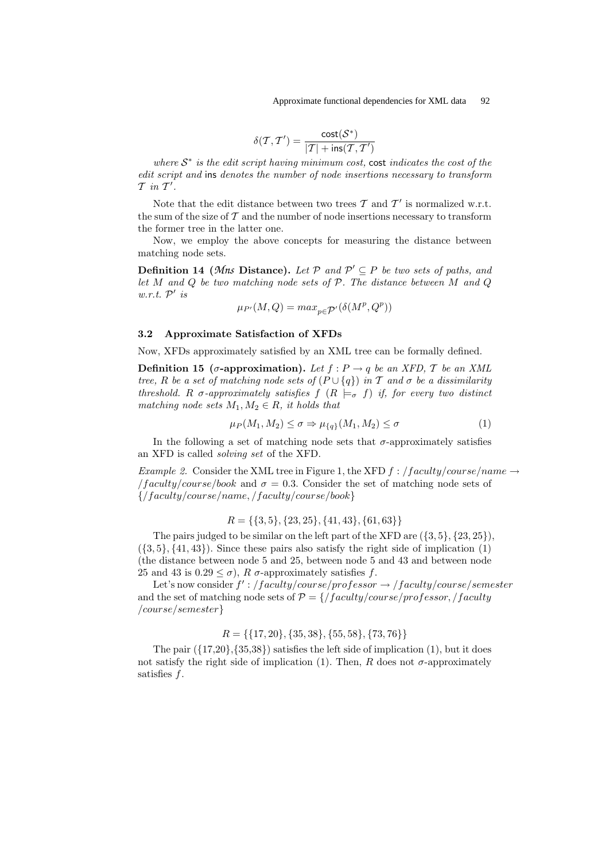$$
\delta(\mathcal{T}, \mathcal{T}') = \frac{\text{cost}(\mathcal{S}^*)}{|\mathcal{T}| + \text{ins}(\mathcal{T}, \mathcal{T}')}
$$

where  $S^*$  is the edit script having minimum cost, cost indicates the cost of the edit script and ins denotes the number of node insertions necessary to transform  $T$  in  $T'$ .

Note that the edit distance between two trees  $\mathcal T$  and  $\mathcal T'$  is normalized w.r.t. the sum of the size of  $\mathcal T$  and the number of node insertions necessary to transform the former tree in the latter one.

Now, we employ the above concepts for measuring the distance between matching node sets.

**Definition 14 (Mns Distance).** Let  $P$  and  $P' \subseteq P$  be two sets of paths, and let  $M$  and  $Q$  be two matching node sets of  $P$ . The distance between  $M$  and  $Q$  $w.r.t. P'$  is

$$
\mu_{P'}(M,Q)=max_{p\in \mathcal{P}'}(\delta(M^p,Q^p))
$$

#### 3.2 Approximate Satisfaction of XFDs

Now, XFDs approximately satisfied by an XML tree can be formally defined.

**Definition 15** ( $\sigma$ -approximation). Let  $f : P \rightarrow q$  be an XFD,  $T$  be an XML tree, R be a set of matching node sets of  $(P \cup \{q\})$  in T and  $\sigma$  be a dissimilarity threshold. R  $\sigma$ -approximately satisfies  $f(R \models_{\sigma} f)$  if, for every two distinct matching node sets  $M_1, M_2 \in R$ , it holds that

$$
\mu_P(M_1, M_2) \le \sigma \Rightarrow \mu_{\{q\}}(M_1, M_2) \le \sigma \tag{1}
$$

In the following a set of matching node sets that  $\sigma$ -approximately satisfies an XFD is called solving set of the XFD.

Example 2. Consider the XML tree in Figure 1, the XFD  $f$ :  $/faculty/course/name \rightarrow$  $\frac{f}{\text{cavity}}$  course/book and  $\sigma = 0.3$ . Consider the set of matching node sets of  $\{$ / $f\acute{a}culty/course/name,$ / $f\acute{a}culty/course/book\}$ 

$$
R = \{ \{3, 5\}, \{23, 25\}, \{41, 43\}, \{61, 63\} \}
$$

The pairs judged to be similar on the left part of the XFD are  $({3, 5}, {23, 25})$ ,  $({3, 5}, {41, 43})$ . Since these pairs also satisfy the right side of implication  $(1)$ (the distance between node 5 and 25, between node 5 and 43 and between node 25 and 43 is  $0.29 \le \sigma$ ), R  $\sigma$ -approximately satisfies f.

Let's now consider  $f'$ : /faculty/course/professor  $\rightarrow$  /faculty/course/semester and the set of matching node sets of  $P = \frac{{\frac{1}{2}}}{\frac{1}{2}}$  / faculty / course/professor, / faculty /course/semester}

## $R = \{\{17, 20\}, \{35, 38\}, \{55, 58\}, \{73, 76\}\}\$

The pair  $({17,20}, {35,38})$  satisfies the left side of implication  $(1)$ , but it does not satisfy the right side of implication (1). Then, R does not  $\sigma$ -approximately satisfies  $f$ .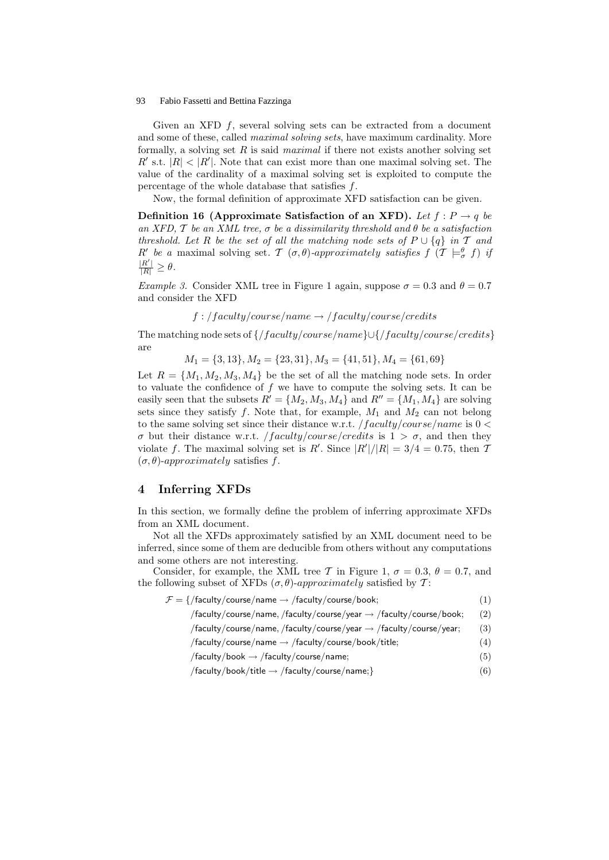Given an XFD  $f$ , several solving sets can be extracted from a document and some of these, called *maximal solving sets*, have maximum cardinality. More formally, a solving set  $R$  is said *maximal* if there not exists another solving set  $R'$  s.t.  $|R| < |R'|$ . Note that can exist more than one maximal solving set. The value of the cardinality of a maximal solving set is exploited to compute the percentage of the whole database that satisfies f.

Now, the formal definition of approximate XFD satisfaction can be given.

Definition 16 (Approximate Satisfaction of an XFD). Let  $f: P \rightarrow q$  be an XFD,  $T$  be an XML tree,  $\sigma$  be a dissimilarity threshold and  $\theta$  be a satisfaction threshold. Let R be the set of all the matching node sets of  $P \cup \{q\}$  in T and  $R'$  be a maximal solving set. T  $(\sigma, \theta)$ -approximately satisfies  $f$   $(\mathcal{T} \models^{\theta}_{\sigma} f)$  if  $\frac{|R'|}{|R|} \geq \theta.$ 

Example 3. Consider XML tree in Figure 1 again, suppose  $\sigma = 0.3$  and  $\theta = 0.7$ and consider the XFD

$$
f: /faculty/course / name \rightarrow /faculty/course / credits
$$

The matching node sets of  $\frac{f}{\frac{d}{\omega}}$  (*faculty/course/name*} $\cup \frac{f}{\omega}$ *(faculty/course/credits*) are

$$
M_1 = \{3, 13\}, M_2 = \{23, 31\}, M_3 = \{41, 51\}, M_4 = \{61, 69\}
$$

Let  $R = \{M_1, M_2, M_3, M_4\}$  be the set of all the matching node sets. In order to valuate the confidence of  $f$  we have to compute the solving sets. It can be easily seen that the subsets  $R' = \{M_2, M_3, M_4\}$  and  $R'' = \{M_1, M_4\}$  are solving sets since they satisfy  $f$ . Note that, for example,  $M_1$  and  $M_2$  can not belong to the same solving set since their distance w.r.t.  $/faculty/course/name$  is  $0 <$ σ but their distance w.r.t. */faculty/course/credits* is  $1 > σ$ , and then they violate f. The maximal solving set is R'. Since  $|R'|/|R| = 3/4 = 0.75$ , then T  $(\sigma, \theta)$ -approximately satisfies f.

## 4 Inferring XFDs

In this section, we formally define the problem of inferring approximate XFDs from an XML document.

Not all the XFDs approximately satisfied by an XML document need to be inferred, since some of them are deducible from others without any computations and some others are not interesting.

Consider, for example, the XML tree T in Figure 1,  $\sigma = 0.3$ ,  $\theta = 0.7$ , and the following subset of XFDs  $(\sigma, \theta)$ -approximately satisfied by T:

| /faculty/course/name, /faculty/course/year $\rightarrow$ /faculty/course/book;<br>(2) |
|---------------------------------------------------------------------------------------|
|                                                                                       |
| /faculty/course/name, /faculty/course/year $\rightarrow$ /faculty/course/year;<br>(3) |
| /faculty/course/name $\rightarrow$ /faculty/course/book/title;<br>(4)                 |
| /faculty/book $\rightarrow$ /faculty/course/name;<br>(5)                              |
| /faculty/book/title $\rightarrow$ /faculty/course/name; }<br>(6)                      |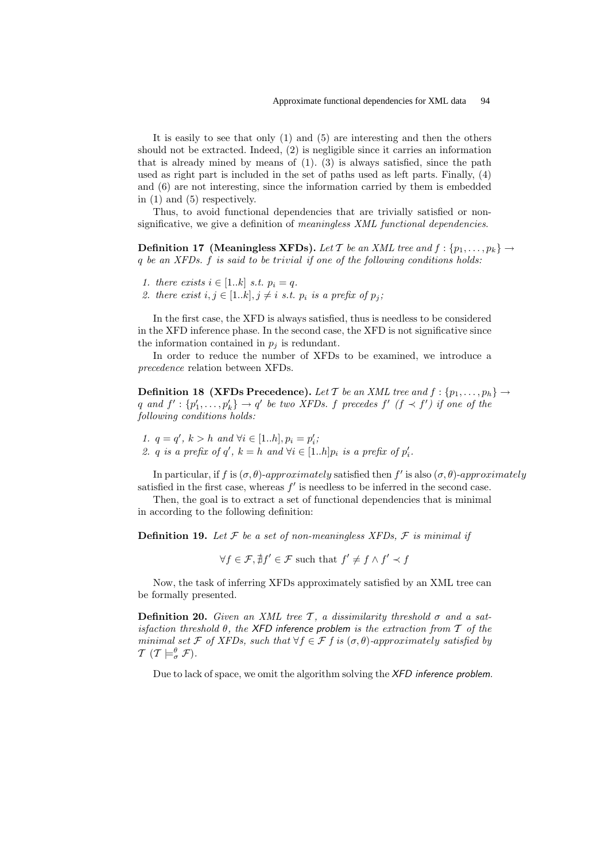It is easily to see that only (1) and (5) are interesting and then the others should not be extracted. Indeed, (2) is negligible since it carries an information that is already mined by means of (1). (3) is always satisfied, since the path used as right part is included in the set of paths used as left parts. Finally, (4) and (6) are not interesting, since the information carried by them is embedded in (1) and (5) respectively.

Thus, to avoid functional dependencies that are trivially satisfied or nonsignificative, we give a definition of meaningless XML functional dependencies.

**Definition 17 (Meaningless XFDs).** Let T be an XML tree and  $f : \{p_1, \ldots, p_k\} \rightarrow$ q be an XFDs. f is said to be trivial if one of the following conditions holds:

- 1. there exists  $i \in [1..k]$  s.t.  $p_i = q$ .
- 2. there exist  $i, j \in [1..k], j \neq i$  s.t.  $p_i$  is a prefix of  $p_j$ ;

In the first case, the XFD is always satisfied, thus is needless to be considered in the XFD inference phase. In the second case, the XFD is not significative since the information contained in  $p_i$  is redundant.

In order to reduce the number of XFDs to be examined, we introduce a precedence relation between XFDs.

**Definition 18 (XFDs Precedence).** Let T be an XML tree and  $f : \{p_1, \ldots, p_h\} \rightarrow$ q and  $f' : \{p'_1, \ldots, p'_k\} \to q'$  be two XFDs. f precedes  $f'$   $(f \prec f')$  if one of the following conditions holds:

1.  $q = q'$ ,  $k > h$  and  $\forall i \in [1..h], p_i = p'_i$ ; 2. q is a prefix of q',  $k = h$  and  $\forall i \in [1..h]p_i$  is a prefix of  $p'_i$ .

In particular, if f is  $(\sigma, \theta)$ -approximately satisfied then f' is also  $(\sigma, \theta)$ -approximately satisfied in the first case, whereas  $f'$  is needless to be inferred in the second case.

Then, the goal is to extract a set of functional dependencies that is minimal in according to the following definition:

**Definition 19.** Let  $\mathcal F$  be a set of non-meaningless XFDs,  $\mathcal F$  is minimal if

 $\forall f \in \mathcal{F}, \nexists f' \in \mathcal{F}$  such that  $f' \neq f \wedge f' \prec f$ 

Now, the task of inferring XFDs approximately satisfied by an XML tree can be formally presented.

**Definition 20.** Given an XML tree T, a dissimilarity threshold  $\sigma$  and a satisfaction threshold  $\theta$ , the XFD inference problem is the extraction from  $\mathcal T$  of the minimal set F of XFDs, such that  $\forall f \in \mathcal{F}$  f is  $(\sigma, \theta)$ -approximately satisfied by  $\mathcal{T}$   $(\mathcal{T} \models^{\theta}_{\sigma} \mathcal{F}).$ 

Due to lack of space, we omit the algorithm solving the XFD inference problem.